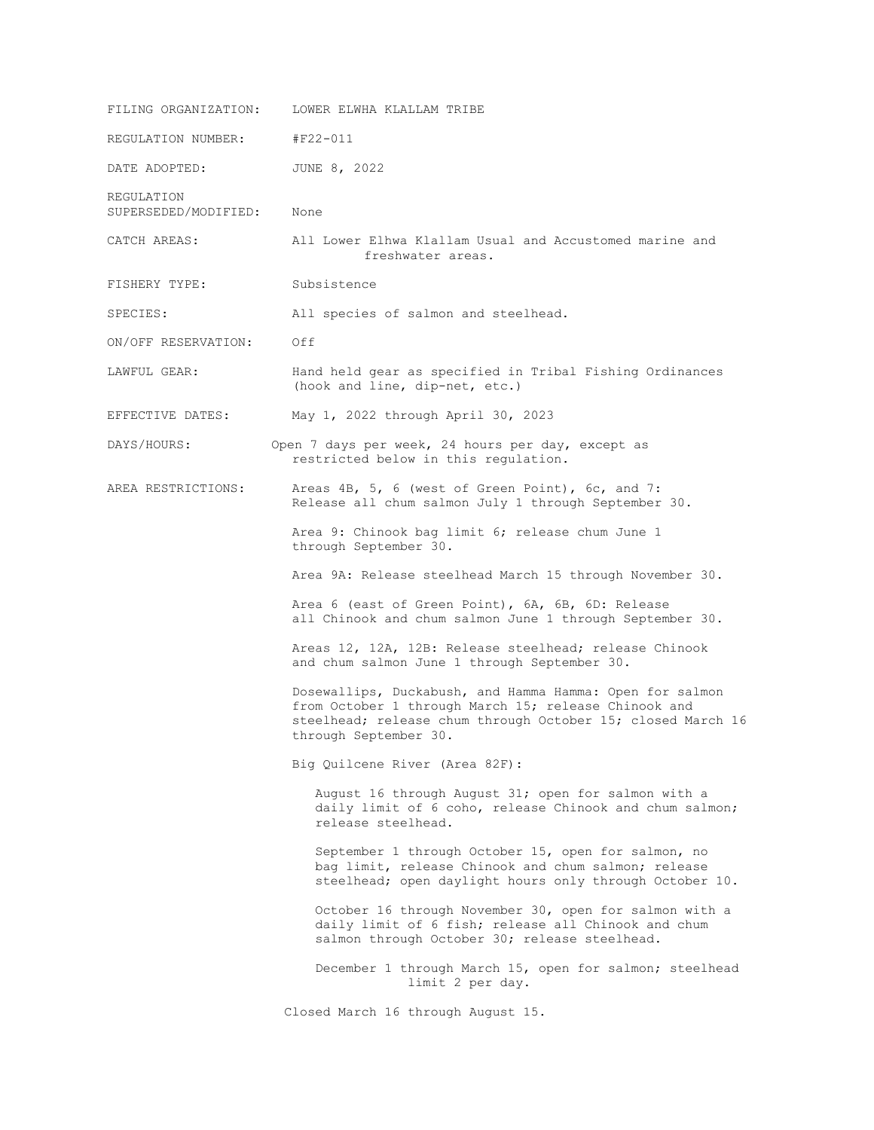| FILING ORGANIZATION:               | LOWER ELWHA KLALLAM TRIBE                                                                                                                                                                                |
|------------------------------------|----------------------------------------------------------------------------------------------------------------------------------------------------------------------------------------------------------|
| REGULATION NUMBER:                 | #F22-011                                                                                                                                                                                                 |
| DATE ADOPTED:                      | JUNE 8, 2022                                                                                                                                                                                             |
| REGULATION<br>SUPERSEDED/MODIFIED: | None                                                                                                                                                                                                     |
| CATCH AREAS:                       | All Lower Elhwa Klallam Usual and Accustomed marine and<br>freshwater areas.                                                                                                                             |
| FISHERY TYPE:                      | Subsistence                                                                                                                                                                                              |
| SPECIES:                           | All species of salmon and steelhead.                                                                                                                                                                     |
| ON/OFF RESERVATION:                | Off                                                                                                                                                                                                      |
| LAWFUL GEAR:                       | Hand held gear as specified in Tribal Fishing Ordinances<br>(hook and line, dip-net, etc.)                                                                                                               |
| EFFECTIVE DATES:                   | May 1, 2022 through April 30, 2023                                                                                                                                                                       |
| DAYS/HOURS:                        | Open 7 days per week, 24 hours per day, except as<br>restricted below in this regulation.                                                                                                                |
| AREA RESTRICTIONS:                 | Areas 4B, 5, 6 (west of Green Point), 6c, and 7:<br>Release all chum salmon July 1 through September 30.                                                                                                 |
|                                    | Area 9: Chinook bag limit 6; release chum June 1<br>through September 30.                                                                                                                                |
|                                    | Area 9A: Release steelhead March 15 through November 30.                                                                                                                                                 |
|                                    | Area 6 (east of Green Point), 6A, 6B, 6D: Release<br>all Chinook and chum salmon June 1 through September 30.                                                                                            |
|                                    | Areas 12, 12A, 12B: Release steelhead; release Chinook<br>and chum salmon June 1 through September 30.                                                                                                   |
|                                    | Dosewallips, Duckabush, and Hamma Hamma: Open for salmon<br>from October 1 through March 15; release Chinook and<br>steelhead; release chum through October 15; closed March 16<br>through September 30. |
|                                    | Big Quilcene River (Area 82F):                                                                                                                                                                           |
|                                    | August 16 through August 31; open for salmon with a<br>daily limit of 6 coho, release Chinook and chum salmon;<br>release steelhead.                                                                     |
|                                    | September 1 through October 15, open for salmon, no<br>bag limit, release Chinook and chum salmon; release<br>steelhead; open daylight hours only through October 10.                                    |
|                                    | October 16 through November 30, open for salmon with a<br>daily limit of 6 fish; release all Chinook and chum<br>salmon through October 30; release steelhead.                                           |
|                                    | December 1 through March 15, open for salmon; steelhead<br>limit 2 per day.                                                                                                                              |
|                                    | Closed March 16 through August 15.                                                                                                                                                                       |